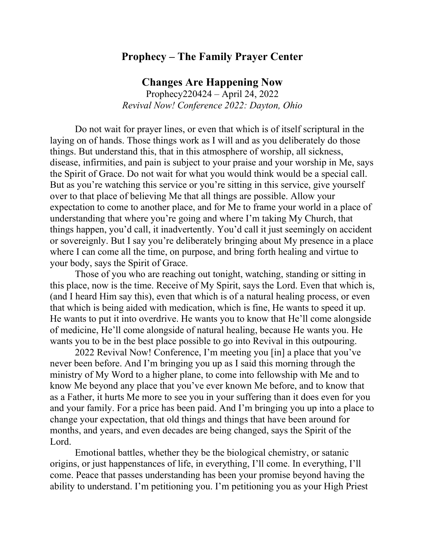## **Prophecy – The Family Prayer Center**

## **Changes Are Happening Now**

Prophecy220424 – April 24, 2022 *Revival Now! Conference 2022: Dayton, Ohio*

Do not wait for prayer lines, or even that which is of itself scriptural in the laying on of hands. Those things work as I will and as you deliberately do those things. But understand this, that in this atmosphere of worship, all sickness, disease, infirmities, and pain is subject to your praise and your worship in Me, says the Spirit of Grace. Do not wait for what you would think would be a special call. But as you're watching this service or you're sitting in this service, give yourself over to that place of believing Me that all things are possible. Allow your expectation to come to another place, and for Me to frame your world in a place of understanding that where you're going and where I'm taking My Church, that things happen, you'd call, it inadvertently. You'd call it just seemingly on accident or sovereignly. But I say you're deliberately bringing about My presence in a place where I can come all the time, on purpose, and bring forth healing and virtue to your body, says the Spirit of Grace.

Those of you who are reaching out tonight, watching, standing or sitting in this place, now is the time. Receive of My Spirit, says the Lord. Even that which is, (and I heard Him say this), even that which is of a natural healing process, or even that which is being aided with medication, which is fine, He wants to speed it up. He wants to put it into overdrive. He wants you to know that He'll come alongside of medicine, He'll come alongside of natural healing, because He wants you. He wants you to be in the best place possible to go into Revival in this outpouring.

2022 Revival Now! Conference, I'm meeting you [in] a place that you've never been before. And I'm bringing you up as I said this morning through the ministry of My Word to a higher plane, to come into fellowship with Me and to know Me beyond any place that you've ever known Me before, and to know that as a Father, it hurts Me more to see you in your suffering than it does even for you and your family. For a price has been paid. And I'm bringing you up into a place to change your expectation, that old things and things that have been around for months, and years, and even decades are being changed, says the Spirit of the Lord.

Emotional battles, whether they be the biological chemistry, or satanic origins, or just happenstances of life, in everything, I'll come. In everything, I'll come. Peace that passes understanding has been your promise beyond having the ability to understand. I'm petitioning you. I'm petitioning you as your High Priest